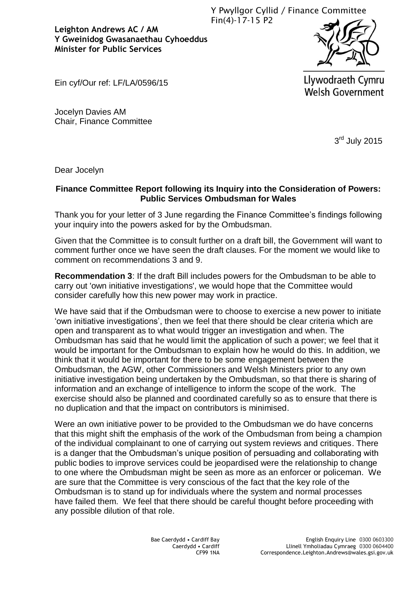Y Pwyllgor Cyllid / Finance Committee Fin(4)-17-15 P2

**Leighton Andrews AC / AM Y Gweinidog Gwasanaethau Cyhoeddus Minister for Public Services** 



Ein cyf/Our ref: LF/LA/0596/15

Llywodraeth Cymru **Welsh Government** 

Jocelyn Davies AM Chair, Finance Committee

3<sup>rd</sup> July 2015

Dear Jocelyn

## **Finance Committee Report following its Inquiry into the Consideration of Powers: Public Services Ombudsman for Wales**

Thank you for your letter of 3 June regarding the Finance Committee's findings following your inquiry into the powers asked for by the Ombudsman.

Given that the Committee is to consult further on a draft bill, the Government will want to comment further once we have seen the draft clauses. For the moment we would like to comment on recommendations 3 and 9.

**Recommendation 3**: If the draft Bill includes powers for the Ombudsman to be able to carry out 'own initiative investigations', we would hope that the Committee would consider carefully how this new power may work in practice.

We have said that if the Ombudsman were to choose to exercise a new power to initiate 'own initiative investigations', then we feel that there should be clear criteria which are open and transparent as to what would trigger an investigation and when. The Ombudsman has said that he would limit the application of such a power; we feel that it would be important for the Ombudsman to explain how he would do this. In addition, we think that it would be important for there to be some engagement between the Ombudsman, the AGW, other Commissioners and Welsh Ministers prior to any own initiative investigation being undertaken by the Ombudsman, so that there is sharing of information and an exchange of intelligence to inform the scope of the work. The exercise should also be planned and coordinated carefully so as to ensure that there is no duplication and that the impact on contributors is minimised.

Were an own initiative power to be provided to the Ombudsman we do have concerns that this might shift the emphasis of the work of the Ombudsman from being a champion of the individual complainant to one of carrying out system reviews and critiques. There is a danger that the Ombudsman's unique position of persuading and collaborating with public bodies to improve services could be jeopardised were the relationship to change to one where the Ombudsman might be seen as more as an enforcer or policeman. We are sure that the Committee is very conscious of the fact that the key role of the Ombudsman is to stand up for individuals where the system and normal processes have failed them. We feel that there should be careful thought before proceeding with any possible dilution of that role.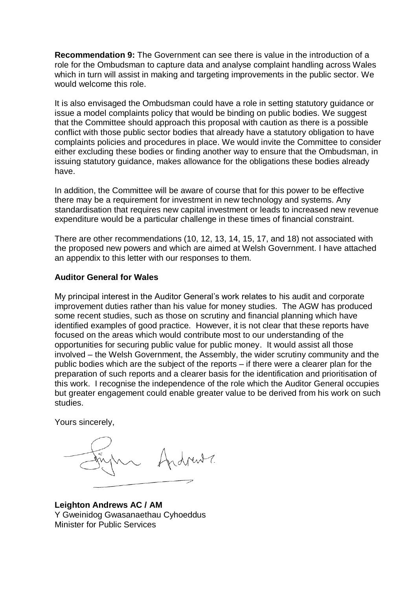**Recommendation 9:** The Government can see there is value in the introduction of a role for the Ombudsman to capture data and analyse complaint handling across Wales which in turn will assist in making and targeting improvements in the public sector. We would welcome this role.

It is also envisaged the Ombudsman could have a role in setting statutory guidance or issue a model complaints policy that would be binding on public bodies. We suggest that the Committee should approach this proposal with caution as there is a possible conflict with those public sector bodies that already have a statutory obligation to have complaints policies and procedures in place. We would invite the Committee to consider either excluding these bodies or finding another way to ensure that the Ombudsman, in issuing statutory guidance, makes allowance for the obligations these bodies already have.

In addition, the Committee will be aware of course that for this power to be effective there may be a requirement for investment in new technology and systems. Any standardisation that requires new capital investment or leads to increased new revenue expenditure would be a particular challenge in these times of financial constraint.

There are other recommendations (10, 12, 13, 14, 15, 17, and 18) not associated with the proposed new powers and which are aimed at Welsh Government. I have attached an appendix to this letter with our responses to them.

## **Auditor General for Wales**

My principal interest in the Auditor General's work relates to his audit and corporate improvement duties rather than his value for money studies. The AGW has produced some recent studies, such as those on scrutiny and financial planning which have identified examples of good practice. However, it is not clear that these reports have focused on the areas which would contribute most to our understanding of the opportunities for securing public value for public money. It would assist all those involved – the Welsh Government, the Assembly, the wider scrutiny community and the public bodies which are the subject of the reports – if there were a clearer plan for the preparation of such reports and a clearer basis for the identification and prioritisation of this work. I recognise the independence of the role which the Auditor General occupies but greater engagement could enable greater value to be derived from his work on such studies.

Yours sincerely,

**Leighton Andrews AC / AM** Y Gweinidog Gwasanaethau Cyhoeddus Minister for Public Services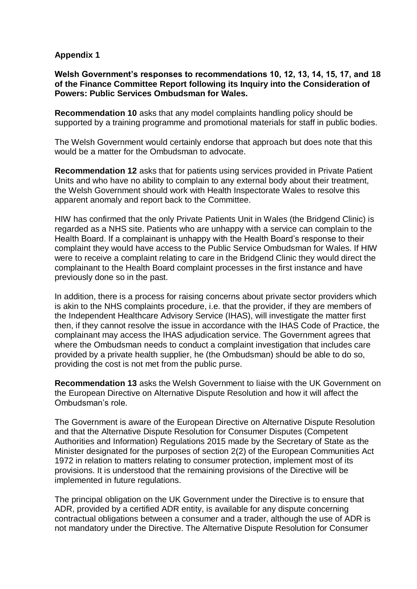## **Appendix 1**

**Welsh Government's responses to recommendations 10, 12, 13, 14, 15, 17, and 18 of the Finance Committee Report following its Inquiry into the Consideration of Powers: Public Services Ombudsman for Wales.**

**Recommendation 10** asks that any model complaints handling policy should be supported by a training programme and promotional materials for staff in public bodies.

The Welsh Government would certainly endorse that approach but does note that this would be a matter for the Ombudsman to advocate.

**Recommendation 12** asks that for patients using services provided in Private Patient Units and who have no ability to complain to any external body about their treatment, the Welsh Government should work with Health Inspectorate Wales to resolve this apparent anomaly and report back to the Committee.

HIW has confirmed that the only Private Patients Unit in Wales (the Bridgend Clinic) is regarded as a NHS site. Patients who are unhappy with a service can complain to the Health Board. If a complainant is unhappy with the Health Board's response to their complaint they would have access to the Public Service Ombudsman for Wales. If HIW were to receive a complaint relating to care in the Bridgend Clinic they would direct the complainant to the Health Board complaint processes in the first instance and have previously done so in the past.

In addition, there is a process for raising concerns about private sector providers which is akin to the NHS complaints procedure, i.e. that the provider, if they are members of the Independent Healthcare Advisory Service (IHAS), will investigate the matter first then, if they cannot resolve the issue in accordance with the IHAS Code of Practice, the complainant may access the IHAS adjudication service. The Government agrees that where the Ombudsman needs to conduct a complaint investigation that includes care provided by a private health supplier, he (the Ombudsman) should be able to do so, providing the cost is not met from the public purse.

**Recommendation 13** asks the Welsh Government to liaise with the UK Government on the European Directive on Alternative Dispute Resolution and how it will affect the Ombudsman's role.

The Government is aware of the European Directive on Alternative Dispute Resolution and that the Alternative Dispute Resolution for Consumer Disputes (Competent Authorities and Information) Regulations 2015 made by the Secretary of State as the Minister designated for the purposes of section 2(2) of the European Communities Act 1972 in relation to matters relating to consumer protection, implement most of its provisions. It is understood that the remaining provisions of the Directive will be implemented in future regulations.

The principal obligation on the UK Government under the Directive is to ensure that ADR, provided by a certified ADR entity, is available for any dispute concerning contractual obligations between a consumer and a trader, although the use of ADR is not mandatory under the Directive. The Alternative Dispute Resolution for Consumer